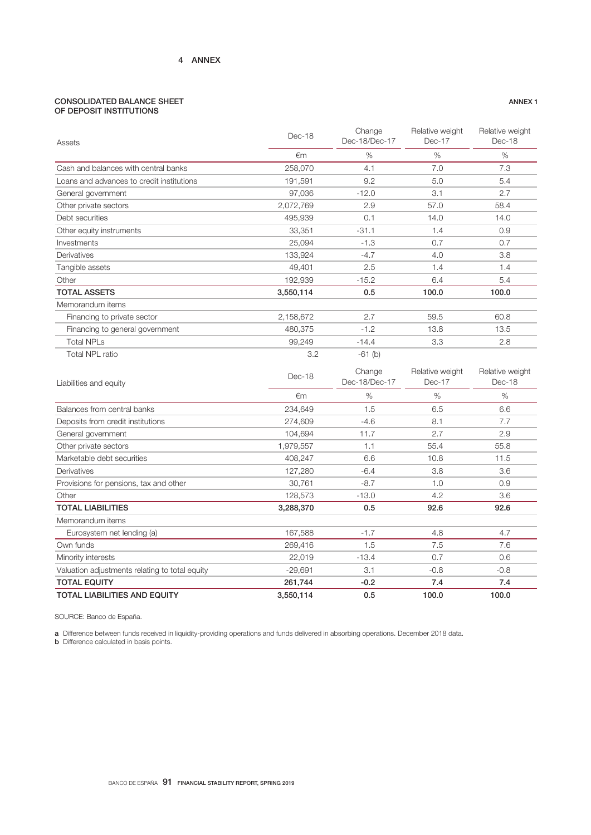## CONSOLIDATED BALANCE SHEET OF DEPOSIT INSTITUTIONS

| Assets                                         | Dec-18    | Change<br>Dec-18/Dec-17 | Relative weight<br>Dec-17 | Relative weight<br>Dec-18 |
|------------------------------------------------|-----------|-------------------------|---------------------------|---------------------------|
|                                                | €m        | %                       | $\%$                      | %                         |
| Cash and balances with central banks           | 258,070   | 4.1                     | 7.0                       | 7.3                       |
| Loans and advances to credit institutions      | 191,591   | 9.2                     | 5.0                       | 5.4                       |
| General government                             | 97,036    | $-12.0$                 | 3.1                       | 2.7                       |
| Other private sectors                          | 2,072,769 | 2.9                     | 57.0                      | 58.4                      |
| Debt securities                                | 495,939   | 0.1                     | 14.0                      | 14.0                      |
| Other equity instruments                       | 33,351    | $-31.1$                 | 1.4                       | 0.9                       |
| Investments                                    | 25,094    | $-1.3$                  | 0.7                       | 0.7                       |
| Derivatives                                    | 133,924   | $-4.7$                  | 4.0                       | 3.8                       |
| Tangible assets                                | 49,401    | 2.5                     | 1.4                       | 1.4                       |
| Other                                          | 192,939   | $-15.2$                 | 6.4                       | 5.4                       |
| <b>TOTAL ASSETS</b>                            | 3,550,114 | 0.5                     | 100.0                     | 100.0                     |
| Memorandum items                               |           |                         |                           |                           |
| Financing to private sector                    | 2,158,672 | 2.7                     | 59.5                      | 60.8                      |
| Financing to general government                | 480,375   | $-1.2$                  | 13.8                      | 13.5                      |
| <b>Total NPLs</b>                              | 99,249    | $-14.4$                 | 3.3                       | 2.8                       |
| Total NPL ratio                                | 3.2       | $-61$ (b)               |                           |                           |
| Liabilities and equity                         | Dec-18    | Change<br>Dec-18/Dec-17 | Relative weight<br>Dec-17 | Relative weight<br>Dec-18 |
|                                                | €m        | %                       | $\%$                      | $\%$                      |
| Balances from central banks                    | 234,649   | 1.5                     | 6.5                       | 6.6                       |
| Deposits from credit institutions              | 274,609   | $-4.6$                  | 8.1                       | 7.7                       |
| General government                             |           |                         |                           |                           |
|                                                | 104,694   | 11.7                    | 2.7                       | 2.9                       |
| Other private sectors                          | 1,979,557 | 1.1                     | 55.4                      | 55.8                      |
| Marketable debt securities                     | 408,247   | 6.6                     | 10.8                      | 11.5                      |
| Derivatives                                    | 127,280   | $-6.4$                  | 3.8                       | 3.6                       |
| Provisions for pensions, tax and other         | 30,761    | $-8.7$                  | 1.0                       | 0.9                       |
| Other                                          | 128,573   | $-13.0$                 | 4.2                       | 3.6                       |
| <b>TOTAL LIABILITIES</b>                       | 3,288,370 | 0.5                     | 92.6                      | 92.6                      |
| Memorandum items                               |           |                         |                           |                           |
| Eurosystem net lending (a)                     | 167,588   | $-1.7$                  | 4.8                       | 4.7                       |
| Own funds                                      | 269,416   | 1.5                     | 7.5                       | 7.6                       |
| Minority interests                             | 22,019    | $-13.4$                 | 0.7                       | 0.6                       |
| Valuation adjustments relating to total equity | $-29,691$ | 3.1                     | $-0.8$                    | $-0.8$                    |
| <b>TOTAL EQUITY</b>                            | 261,744   | $-0.2$                  | 7.4                       | 7.4                       |

SOURCE: Banco de España.

a Difference between funds received in liquidity-providing operations and funds delivered in absorbing operations. December 2018 data.

**b** Difference calculated in basis points.

ANNEX 1